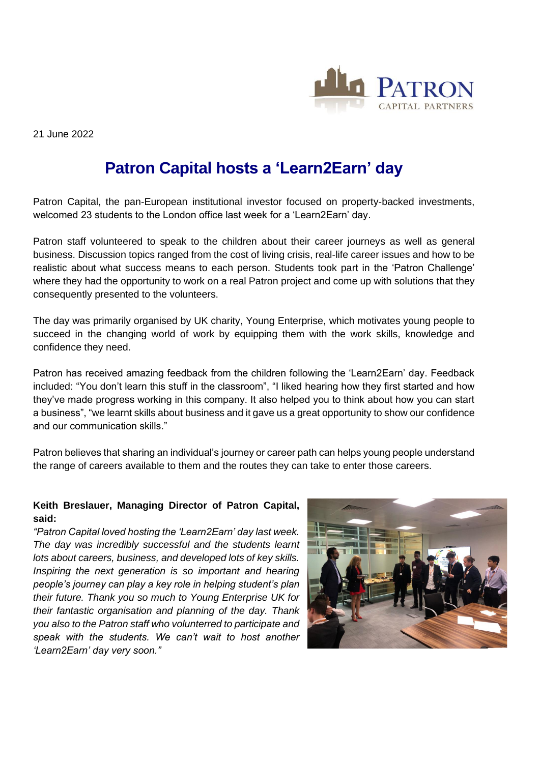

21 June 2022

# **Patron Capital hosts a 'Learn2Earn' day**

Patron Capital, the pan-European institutional investor focused on property-backed investments, welcomed 23 students to the London office last week for a 'Learn2Earn' day.

Patron staff volunteered to speak to the children about their career journeys as well as general business. Discussion topics ranged from the cost of living crisis, real-life career issues and how to be realistic about what success means to each person. Students took part in the 'Patron Challenge' where they had the opportunity to work on a real Patron project and come up with solutions that they consequently presented to the volunteers.

The day was primarily organised by UK charity, Young Enterprise, which motivates young people to succeed in the changing world of work by equipping them with the work skills, knowledge and confidence they need.

Patron has received amazing feedback from the children following the 'Learn2Earn' day. Feedback included: "You don't learn this stuff in the classroom", "I liked hearing how they first started and how they've made progress working in this company. It also helped you to think about how you can start a business", "we learnt skills about business and it gave us a great opportunity to show our confidence and our communication skills."

Patron believes that sharing an individual's journey or career path can helps young people understand the range of careers available to them and the routes they can take to enter those careers.

## **Keith Breslauer, Managing Director of Patron Capital, said:**

*"Patron Capital loved hosting the 'Learn2Earn' day last week. The day was incredibly successful and the students learnt lots about careers, business, and developed lots of key skills. Inspiring the next generation is so important and hearing people's journey can play a key role in helping student's plan their future. Thank you so much to Young Enterprise UK for their fantastic organisation and planning of the day. Thank you also to the Patron staff who volunterred to participate and speak with the students. We can't wait to host another 'Learn2Earn' day very soon."*

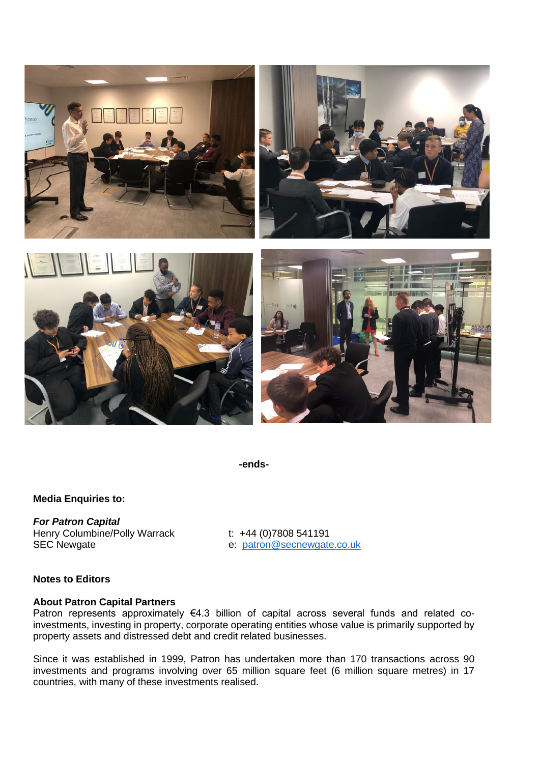

**-ends-**

#### **Media Enquiries to:**

*For Patron Capital* Henry Columbine/Polly Warrack t: +44 (0)7808 541191 SEC Newgate e: [patron@secnewgate.co.uk](mailto:patron@secnewgate.co.uk)

### **Notes to Editors**

#### **About Patron Capital Partners**

Patron represents approximately €4.3 billion of capital across several funds and related coinvestments, investing in property, corporate operating entities whose value is primarily supported by property assets and distressed debt and credit related businesses.

Since it was established in 1999, Patron has undertaken more than 170 transactions across 90 investments and programs involving over 65 million square feet (6 million square metres) in 17 countries, with many of these investments realised.